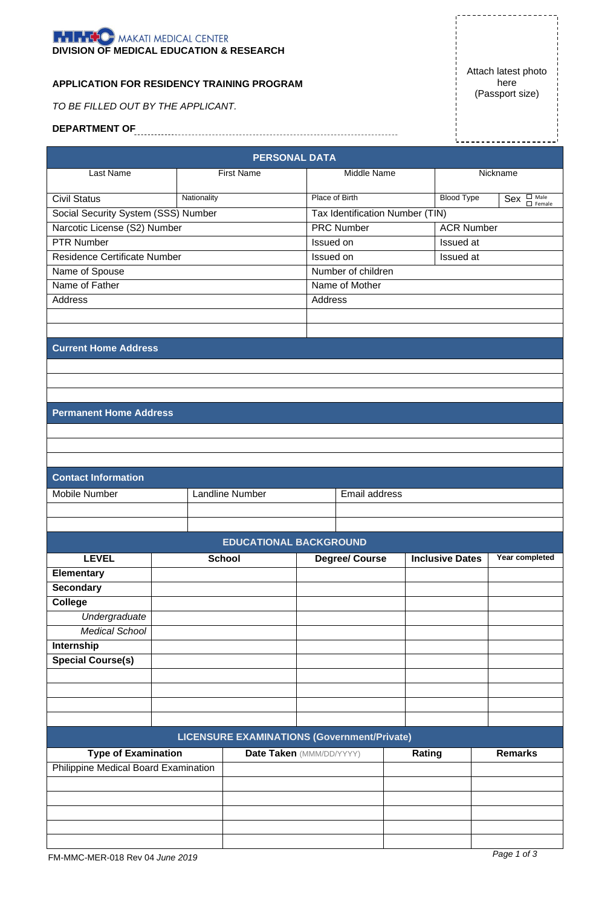

## **APPLICATION FOR RESIDENCY TRAINING PROGRAM**

*TO BE FILLED OUT BY THE APPLICANT.*

**DEPARTMENT OF** 

Attach latest photo here (Passport size)

. . . . . . . .

|                                     |                                      |                                             | <b>PERSONAL DATA</b>                   |                                 |                        |                   |                   |
|-------------------------------------|--------------------------------------|---------------------------------------------|----------------------------------------|---------------------------------|------------------------|-------------------|-------------------|
| Last Name                           |                                      | <b>First Name</b>                           | Middle Name                            |                                 |                        | Nickname          |                   |
|                                     |                                      |                                             |                                        |                                 |                        |                   |                   |
| <b>Civil Status</b>                 | Nationality                          |                                             | Place of Birth                         |                                 |                        | <b>Blood Type</b> | $Sex$ $\Box$ Male |
| Social Security System (SSS) Number |                                      |                                             |                                        | Tax Identification Number (TIN) |                        |                   |                   |
| Narcotic License (S2) Number        |                                      |                                             | <b>PRC Number</b><br><b>ACR Number</b> |                                 |                        |                   |                   |
| <b>PTR Number</b>                   |                                      |                                             | Issued on<br>Issued at                 |                                 |                        |                   |                   |
| <b>Residence Certificate Number</b> |                                      |                                             | Issued on                              |                                 |                        | Issued at         |                   |
| Name of Spouse                      |                                      |                                             | Number of children                     |                                 |                        |                   |                   |
| Name of Father                      |                                      |                                             | Name of Mother                         |                                 |                        |                   |                   |
| <b>Address</b>                      |                                      |                                             | Address                                |                                 |                        |                   |                   |
|                                     |                                      |                                             |                                        |                                 |                        |                   |                   |
|                                     |                                      |                                             |                                        |                                 |                        |                   |                   |
| <b>Current Home Address</b>         |                                      |                                             |                                        |                                 |                        |                   |                   |
|                                     |                                      |                                             |                                        |                                 |                        |                   |                   |
|                                     |                                      |                                             |                                        |                                 |                        |                   |                   |
|                                     |                                      |                                             |                                        |                                 |                        |                   |                   |
|                                     |                                      |                                             |                                        |                                 |                        |                   |                   |
| <b>Permanent Home Address</b>       |                                      |                                             |                                        |                                 |                        |                   |                   |
|                                     |                                      |                                             |                                        |                                 |                        |                   |                   |
|                                     |                                      |                                             |                                        |                                 |                        |                   |                   |
|                                     |                                      |                                             |                                        |                                 |                        |                   |                   |
| <b>Contact Information</b>          |                                      |                                             |                                        |                                 |                        |                   |                   |
| Mobile Number                       |                                      | <b>Landline Number</b>                      | Email address                          |                                 |                        |                   |                   |
|                                     |                                      |                                             |                                        |                                 |                        |                   |                   |
|                                     |                                      |                                             |                                        |                                 |                        |                   |                   |
|                                     |                                      | <b>EDUCATIONAL BACKGROUND</b>               |                                        |                                 |                        |                   |                   |
|                                     |                                      |                                             |                                        |                                 | <b>Inclusive Dates</b> |                   |                   |
| <b>LEVEL</b>                        | <b>School</b>                        |                                             |                                        | <b>Degree/ Course</b>           |                        |                   | Year completed    |
| <b>Elementary</b>                   |                                      |                                             |                                        |                                 |                        |                   |                   |
| <b>Secondary</b>                    |                                      |                                             |                                        |                                 |                        |                   |                   |
| <b>College</b>                      |                                      |                                             |                                        |                                 |                        |                   |                   |
| Undergraduate                       |                                      |                                             |                                        |                                 |                        |                   |                   |
| <b>Medical School</b>               |                                      |                                             |                                        |                                 |                        |                   |                   |
| Internship                          |                                      |                                             |                                        |                                 |                        |                   |                   |
| <b>Special Course(s)</b>            |                                      |                                             |                                        |                                 |                        |                   |                   |
|                                     |                                      |                                             |                                        |                                 |                        |                   |                   |
|                                     |                                      |                                             |                                        |                                 |                        |                   |                   |
|                                     |                                      |                                             |                                        |                                 |                        |                   |                   |
|                                     |                                      |                                             |                                        |                                 |                        |                   |                   |
|                                     |                                      | LICENSURE EXAMINATIONS (Government/Private) |                                        |                                 |                        |                   |                   |
| <b>Type of Examination</b>          |                                      | Date Taken (MMM/DD/YYYY)                    |                                        |                                 | Rating                 |                   | <b>Remarks</b>    |
|                                     | Philippine Medical Board Examination |                                             |                                        |                                 |                        |                   |                   |
|                                     |                                      |                                             |                                        |                                 |                        |                   |                   |
|                                     |                                      |                                             |                                        |                                 |                        |                   |                   |
|                                     |                                      |                                             |                                        |                                 |                        |                   |                   |
|                                     |                                      |                                             |                                        |                                 |                        |                   |                   |
|                                     |                                      |                                             |                                        |                                 |                        |                   |                   |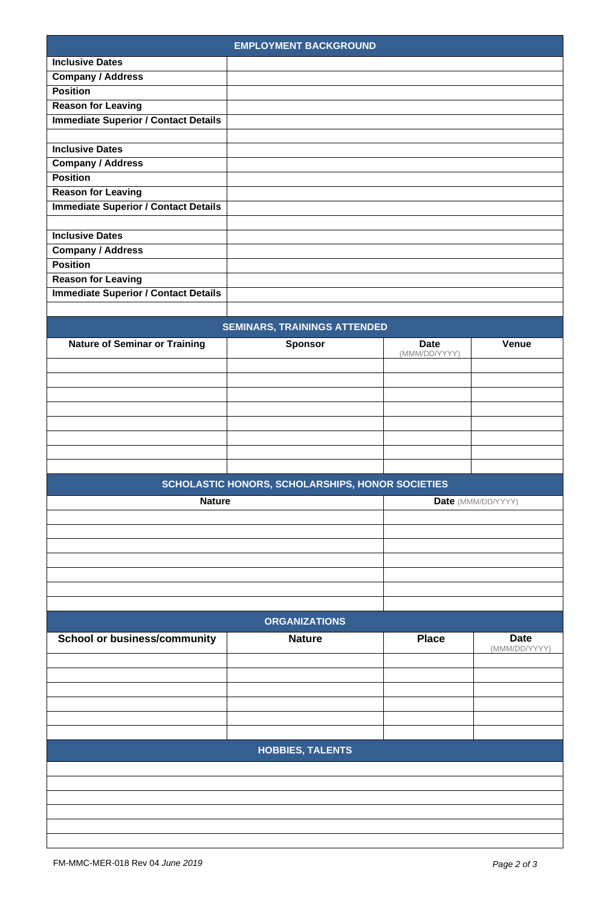|                                             | <b>EMPLOYMENT BACKGROUND</b>                     |               |                              |
|---------------------------------------------|--------------------------------------------------|---------------|------------------------------|
| <b>Inclusive Dates</b>                      |                                                  |               |                              |
| <b>Company / Address</b>                    |                                                  |               |                              |
| <b>Position</b>                             |                                                  |               |                              |
| <b>Reason for Leaving</b>                   |                                                  |               |                              |
| <b>Immediate Superior / Contact Details</b> |                                                  |               |                              |
|                                             |                                                  |               |                              |
| <b>Inclusive Dates</b>                      |                                                  |               |                              |
| <b>Company / Address</b>                    |                                                  |               |                              |
| <b>Position</b>                             |                                                  |               |                              |
| <b>Reason for Leaving</b>                   |                                                  |               |                              |
| <b>Immediate Superior / Contact Details</b> |                                                  |               |                              |
|                                             |                                                  |               |                              |
| <b>Inclusive Dates</b>                      |                                                  |               |                              |
|                                             |                                                  |               |                              |
| <b>Company / Address</b>                    |                                                  |               |                              |
| <b>Position</b>                             |                                                  |               |                              |
| <b>Reason for Leaving</b>                   |                                                  |               |                              |
| <b>Immediate Superior / Contact Details</b> |                                                  |               |                              |
|                                             |                                                  |               |                              |
|                                             | <b>SEMINARS, TRAININGS ATTENDED</b>              |               |                              |
| <b>Nature of Seminar or Training</b>        | <b>Sponsor</b>                                   | <b>Date</b>   | Venue                        |
|                                             |                                                  | (MMM/DD/YYYY) |                              |
|                                             |                                                  |               |                              |
|                                             |                                                  |               |                              |
|                                             |                                                  |               |                              |
|                                             |                                                  |               |                              |
|                                             |                                                  |               |                              |
|                                             |                                                  |               |                              |
|                                             |                                                  |               |                              |
|                                             |                                                  |               |                              |
|                                             |                                                  |               |                              |
|                                             | SCHOLASTIC HONORS, SCHOLARSHIPS, HONOR SOCIETIES |               |                              |
| <b>Nature</b>                               |                                                  |               | Date (MMM/DD/YYYY)           |
|                                             |                                                  |               |                              |
|                                             |                                                  |               |                              |
|                                             |                                                  |               |                              |
|                                             |                                                  |               |                              |
|                                             |                                                  |               |                              |
|                                             |                                                  |               |                              |
|                                             |                                                  |               |                              |
|                                             | <b>ORGANIZATIONS</b>                             |               |                              |
|                                             |                                                  |               |                              |
| <b>School or business/community</b>         | <b>Nature</b>                                    | <b>Place</b>  | <b>Date</b><br>(MMM/DD/YYYY) |
|                                             |                                                  |               |                              |
|                                             |                                                  |               |                              |
|                                             |                                                  |               |                              |
|                                             |                                                  |               |                              |
|                                             |                                                  |               |                              |
|                                             |                                                  |               |                              |
|                                             |                                                  |               |                              |
|                                             | <b>HOBBIES, TALENTS</b>                          |               |                              |
|                                             |                                                  |               |                              |
|                                             |                                                  |               |                              |
|                                             |                                                  |               |                              |
|                                             |                                                  |               |                              |
|                                             |                                                  |               |                              |
|                                             |                                                  |               |                              |
|                                             |                                                  |               |                              |